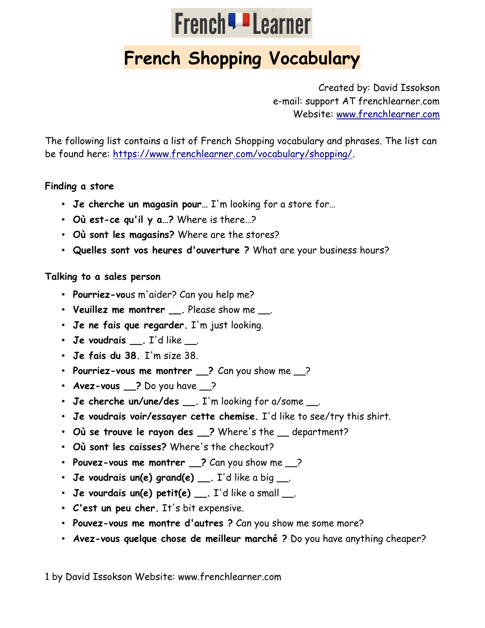

# French Shopping Vocabulary

Created by: David Issokson e-mail: support AT frenchlearner.com Website: www.frenchlearner.com

The following list contains a list of French Shopping vocabulary and phrases. The list can be found here: https://www.frenchlearner.com/vocabulary/shopping/.

#### Finding a store

- Je cherche un magasin pour… I'm looking for a store for…
- Où est-ce qu'il y a…? Where is there…?
- Où sont les magasins? Where are the stores?
- Quelles sont vos heures d'ouverture ? What are your business hours?

#### Talking to a sales person

- Pourriez-vous m'aider? Can you help me?
- Veuillez me montrer \_\_\_. Please show me \_\_\_.
- Je ne fais que regarder. I'm just looking.
- Je voudrais \_\_. I'd like \_\_.
- Je fais du 38. I'm size 38.
- Pourriez-vous me montrer \_\_? Can you show me \_\_?
- Avez-vous \_\_? Do you have \_\_?
- Je cherche un/une/des \_\_\_. I'm looking for a/some \_\_\_.
- Je voudrais voir/essayer cette chemise. I'd like to see/try this shirt.
- Où se trouve le rayon des \_\_? Where's the \_\_ department?
- Où sont les caisses? Where's the checkout?
- Pouvez-vous me montrer \_\_? Can you show me \_\_?
- Je voudrais un(e) grand(e)  $\_\_$ . I'd like a big  $\_\_$ .
- Je vourdais un(e) petit(e) \_\_\_. I'd like a small \_\_\_.
- C'est un peu cher. It's bit expensive.
- Pouvez-vous me montre d'autres ? Can you show me some more?
- Avez-vous quelque chose de meilleur marché ? Do you have anything cheaper?

1 by David Issokson Website: www.frenchlearner.com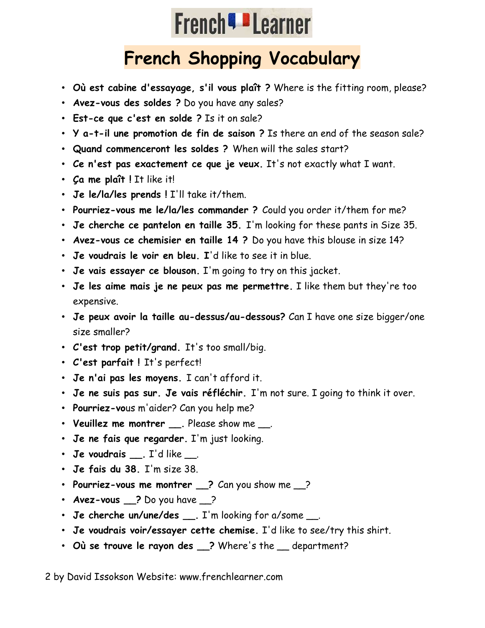# **French<sup>q</sup>** Learner

## French Shopping Vocabulary

- Où est cabine d'essayage, s'il vous plaît ? Where is the fitting room, please?
- Avez-vous des soldes ? Do you have any sales?
- Est-ce que c'est en solde ? Is it on sale?
- Y a-t-il une promotion de fin de saison ? Is there an end of the season sale?
- Quand commenceront les soldes ? When will the sales start?
- Ce n'est pas exactement ce que je veux. It's not exactly what I want.
- Ça me plaît ! It like it!
- Je le/la/les prends ! I'll take it/them.
- Pourriez-vous me le/la/les commander ? Could you order it/them for me?
- Je cherche ce pantelon en taille 35. I'm looking for these pants in Size 35.
- Avez-vous ce chemisier en taille 14 ? Do you have this blouse in size 14?
- Je voudrais le voir en bleu. I'd like to see it in blue.
- Je vais essayer ce blouson. I'm going to try on this jacket.
- Je les aime mais je ne peux pas me permettre. I like them but they're too expensive.
- Je peux avoir la taille au-dessus/au-dessous? Can I have one size bigger/one size smaller?
- C'est trop petit/grand. It's too small/big.
- C'est parfait ! It's perfect!
- Je n'ai pas les moyens. I can't afford it.
- Je ne suis pas sur. Je vais réfléchir. I'm not sure. I going to think it over.
- Pourriez-vous m'aider? Can you help me?
- Veuillez me montrer \_\_\_. Please show me \_\_\_.
- Je ne fais que regarder. I'm just looking.
- Je voudrais \_\_. I'd like \_\_.
- Je fais du 38. I'm size 38.
- Pourriez-vous me montrer 2 Can you show me 2
- Avez-vous 2 Do you have 2
- Je cherche un/une/des \_\_\_. I'm looking for a/some \_\_\_.
- Je voudrais voir/essayer cette chemise. I'd like to see/try this shirt.
- Où se trouve le rayon des \_\_? Where's the \_\_ department?

2 by David Issokson Website: www.frenchlearner.com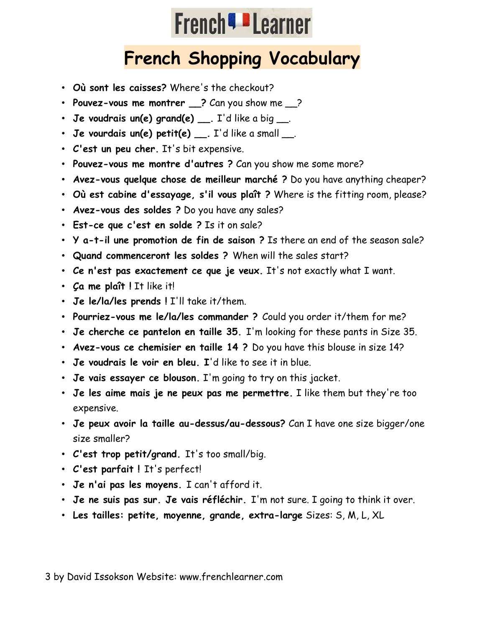# **French<sup>q</sup>** Learner

## French Shopping Vocabulary

- Où sont les caisses? Where's the checkout?
- Pouvez-vous me montrer \_\_? Can you show me \_\_?
- Je voudrais un(e) grand(e)  $\ldots$  I'd like a big  $\ldots$
- Je vourdais un(e) petit(e)  $\ldots$  I'd like a small  $\ldots$
- C'est un peu cher. It's bit expensive.
- Pouvez-vous me montre d'autres ? Can you show me some more?
- Avez-vous quelque chose de meilleur marché ? Do you have anything cheaper?
- Où est cabine d'essayage, s'il vous plaît ? Where is the fitting room, please?
- Avez-vous des soldes ? Do you have any sales?
- Est-ce que c'est en solde ? Is it on sale?
- Y a-t-il une promotion de fin de saison ? Is there an end of the season sale?
- Quand commenceront les soldes ? When will the sales start?
- Ce n'est pas exactement ce que je veux. It's not exactly what I want.
- Ça me plaît ! It like it!
- Je le/la/les prends ! I'll take it/them.
- Pourriez-vous me le/la/les commander ? Could you order it/them for me?
- Je cherche ce pantelon en taille 35. I'm looking for these pants in Size 35.
- Avez-vous ce chemisier en taille 14 ? Do you have this blouse in size 14?
- Je voudrais le voir en bleu. I'd like to see it in blue.
- Je vais essayer ce blouson. I'm going to try on this jacket.
- Je les aime mais je ne peux pas me permettre. I like them but they're too expensive.
- Je peux avoir la taille au-dessus/au-dessous? Can I have one size bigger/one size smaller?
- C'est trop petit/grand. It's too small/big.
- C'est parfait ! It's perfect!
- Je n'ai pas les moyens. I can't afford it.
- Je ne suis pas sur. Je vais réfléchir. I'm not sure. I going to think it over.
- Les tailles: petite, moyenne, grande, extra-large Sizes: S, M, L, XL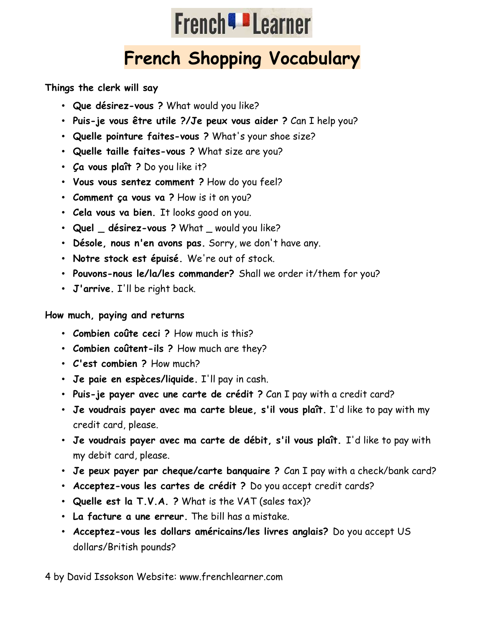

## French Shopping Vocabulary

Things the clerk will say

- Que désirez-vous ? What would you like?
- Puis-je vous être utile ?/Je peux vous aider ? Can I help you?
- Quelle pointure faites-vous ? What's your shoe size?
- Quelle taille faites-vous ? What size are you?
- Ça vous plaît ? Do you like it?
- Vous vous sentez comment ? How do you feel?
- Comment ça vous va ? How is it on you?
- Cela vous va bien. It looks good on you.
- Quel \_ désirez-vous ? What \_ would you like?
- Désole, nous n'en avons pas. Sorry, we don't have any.
- Notre stock est épuisé. We're out of stock.
- Pouvons-nous le/la/les commander? Shall we order it/them for you?
- J'arrive. I'll be right back.

#### How much, paying and returns

- Combien coûte ceci ? How much is this?
- Combien coûtent-ils ? How much are they?
- C'est combien ? How much?
- Je paie en espèces/liquide. I'll pay in cash.
- Puis-je payer avec une carte de crédit ? Can I pay with a credit card?
- Je voudrais payer avec ma carte bleue, s'il vous plaît. I'd like to pay with my credit card, please.
- Je voudrais payer avec ma carte de débit, s'il vous plaît. I'd like to pay with my debit card, please.
- Je peux payer par cheque/carte banquaire ? Can I pay with a check/bank card?
- Acceptez-vous les cartes de crédit ? Do you accept credit cards?
- Quelle est la T.V.A. ? What is the VAT (sales tax)?
- La facture a une erreur. The bill has a mistake.
- Acceptez-vous les dollars américains/les livres anglais? Do you accept US dollars/British pounds?

4 by David Issokson Website: www.frenchlearner.com